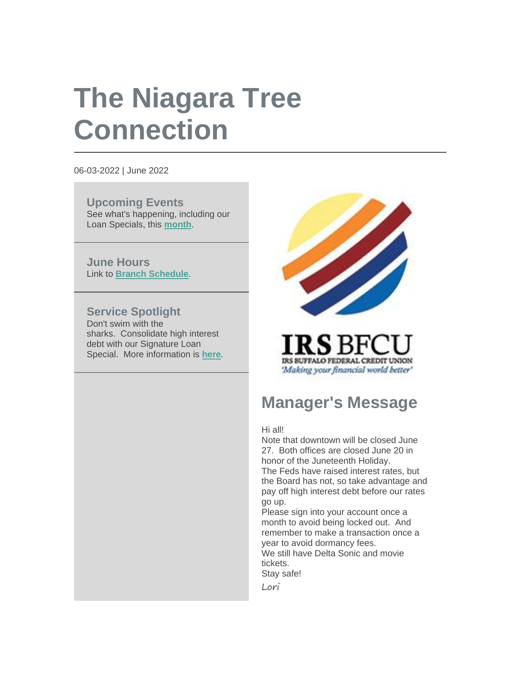# **The Niagara Tree Connection**

06-03-2022 | June 2022

**Upcoming Events** See what's happening, including our Loan Specials, this **[month](https://r20.rs6.net/tn.jsp?f=001rgIwgpZwSoO4y5FoHNskw9yXau1lmjyVFRLqjn2_Zq4XrKH07ZtQS3T6LhvVgov3lfV-uPIk7SPkcw8FBqBb3ielZlQRuQ0575YoR1EmetFpnuHazUygL3RU2mV4VqniKOmgp_7-amZDIMVv_x_62w==&c=9qXJw3E8Sz_bXnjFkgAo6WrAG0__0RiHdktptnW6VYCximy6yl1JSg==&ch=adonSORmyfkZjsBa7UB6S--3PqnVWRod5nEJgHKg4fuw7AOKLgc6OQ==)**.

**June Hours** Link to **[Branch Schedule](https://r20.rs6.net/tn.jsp?f=001rgIwgpZwSoO4y5FoHNskw9yXau1lmjyVFRLqjn2_Zq4XrKH07ZtQS78cl3jlBXpLSk-vIflED32sZq-fzGTFt3pViopL2Rb97YPbvtfrcmQIMu_tIMg6hEIqZIl_19WPYdYypUBp7cSqSFYZnO5fNDkoc8yegsikUA4eEYw-FgBl7eCGHgyjPzTsozXHxYQHVRu2dadSEHHgzcmoZjkHVA==&c=9qXJw3E8Sz_bXnjFkgAo6WrAG0__0RiHdktptnW6VYCximy6yl1JSg==&ch=adonSORmyfkZjsBa7UB6S--3PqnVWRod5nEJgHKg4fuw7AOKLgc6OQ==)**.

### **Service Spotlight**

Don't swim with the sharks. Consolidate high interest debt with our Signature Loan Special. More information is **[here](https://r20.rs6.net/tn.jsp?f=001rgIwgpZwSoO4y5FoHNskw9yXau1lmjyVFRLqjn2_Zq4XrKH07ZtQS78cl3jlBXpLYk_w7G5b2UqfGZMe0rLMeglF9D64eWNS5hlaLlSu0hRbDDh001AStuXVqXWMVcwOuzjxTfyFwqEBXz6KzhV7xJ0qZTudlLRX-lcAiDZkYAKOhCMQsKHwSPwmEWWkb-qDvKocXaVLYz_9VGon2BuO8RoQkbYe4Ei8&c=9qXJw3E8Sz_bXnjFkgAo6WrAG0__0RiHdktptnW6VYCximy6yl1JSg==&ch=adonSORmyfkZjsBa7UB6S--3PqnVWRod5nEJgHKg4fuw7AOKLgc6OQ==)**.



IRS BUFFALO FEDERAL CREDIT UNION 'Making your financial world better'

# **Manager's Message**

#### Hi all!

Note that downtown will be closed June 27. Both offices are closed June 20 in honor of the Juneteenth Holiday. The Feds have raised interest rates, but the Board has not, so take advantage and pay off high interest debt before our rates go up.

Please sign into your account once a month to avoid being locked out. And remember to make a transaction once a year to avoid dormancy fees.

We still have Delta Sonic and movie tickets.

Stay safe!

Lori